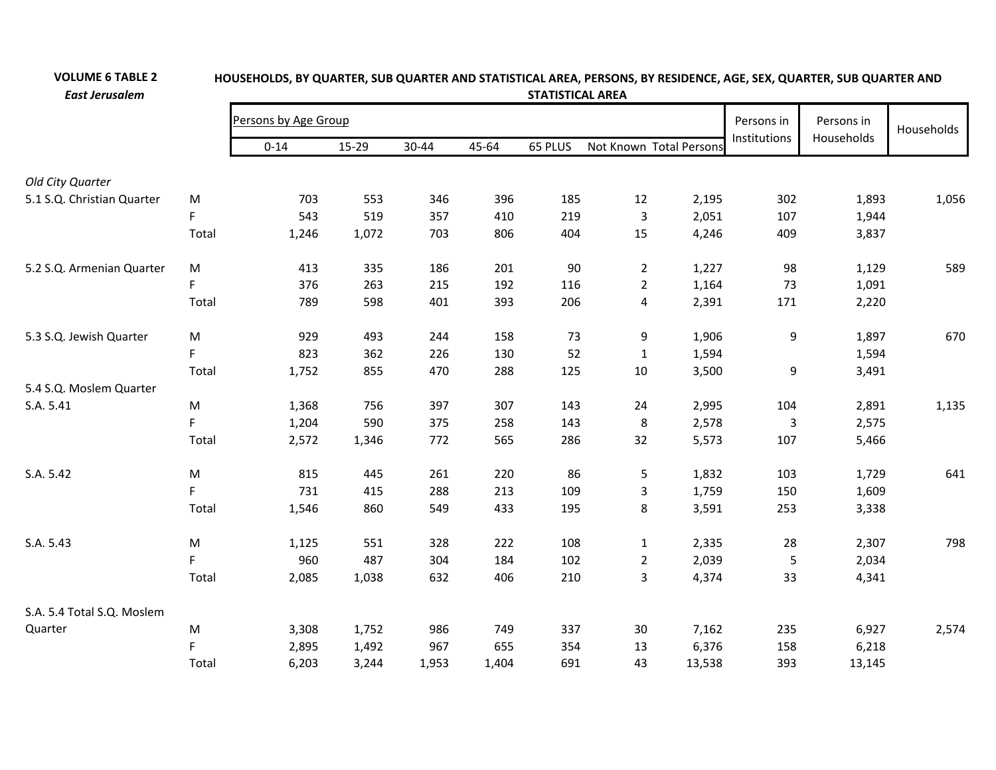| <b>East Jerusalem</b>      |           | <b>STATISTICAL AREA</b> |       |       |            |            |                |                         |              |            |       |  |  |  |
|----------------------------|-----------|-------------------------|-------|-------|------------|------------|----------------|-------------------------|--------------|------------|-------|--|--|--|
|                            |           | Persons by Age Group    |       |       | Persons in | Persons in | Households     |                         |              |            |       |  |  |  |
|                            |           | $0 - 14$                | 15-29 | 30-44 | 45-64      | 65 PLUS    |                | Not Known Total Persons | Institutions | Households |       |  |  |  |
| Old City Quarter           |           |                         |       |       |            |            |                |                         |              |            |       |  |  |  |
| 5.1 S.Q. Christian Quarter | M         | 703                     | 553   | 346   | 396        | 185        | 12             | 2,195                   | 302          | 1,893      | 1,056 |  |  |  |
|                            | F.        | 543                     | 519   | 357   | 410        | 219        | 3              | 2,051                   | 107          | 1,944      |       |  |  |  |
|                            | Total     | 1,246                   | 1,072 | 703   | 806        | 404        | 15             | 4,246                   | 409          | 3,837      |       |  |  |  |
| 5.2 S.Q. Armenian Quarter  | M         | 413                     | 335   | 186   | 201        | 90         | $\overline{2}$ | 1,227                   | 98           | 1,129      | 589   |  |  |  |
|                            | F         | 376                     | 263   | 215   | 192        | 116        | $\overline{2}$ | 1,164                   | 73           | 1,091      |       |  |  |  |
|                            | Total     | 789                     | 598   | 401   | 393        | 206        | $\overline{4}$ | 2,391                   | 171          | 2,220      |       |  |  |  |
| 5.3 S.Q. Jewish Quarter    | M         | 929                     | 493   | 244   | 158        | 73         | 9              | 1,906                   | 9            | 1,897      | 670   |  |  |  |
|                            | F         | 823                     | 362   | 226   | 130        | 52         | $\mathbf{1}$   | 1,594                   |              | 1,594      |       |  |  |  |
|                            | Total     | 1,752                   | 855   | 470   | 288        | 125        | 10             | 3,500                   | 9            | 3,491      |       |  |  |  |
| 5.4 S.Q. Moslem Quarter    |           |                         |       |       |            |            |                |                         |              |            |       |  |  |  |
| S.A. 5.41                  | ${\sf M}$ | 1,368                   | 756   | 397   | 307        | 143        | 24             | 2,995                   | 104          | 2,891      | 1,135 |  |  |  |
|                            | F         | 1,204                   | 590   | 375   | 258        | 143        | $\,8\,$        | 2,578                   | 3            | 2,575      |       |  |  |  |
|                            | Total     | 2,572                   | 1,346 | 772   | 565        | 286        | 32             | 5,573                   | 107          | 5,466      |       |  |  |  |
| S.A. 5.42                  | M         | 815                     | 445   | 261   | 220        | 86         | 5              | 1,832                   | 103          | 1,729      | 641   |  |  |  |
|                            | F         | 731                     | 415   | 288   | 213        | 109        | 3              | 1,759                   | 150          | 1,609      |       |  |  |  |
|                            | Total     | 1,546                   | 860   | 549   | 433        | 195        | 8              | 3,591                   | 253          | 3,338      |       |  |  |  |
| S.A. 5.43                  | ${\sf M}$ | 1,125                   | 551   | 328   | 222        | 108        | $\mathbf{1}$   | 2,335                   | 28           | 2,307      | 798   |  |  |  |
|                            | F         | 960                     | 487   | 304   | 184        | 102        | $\overline{2}$ | 2,039                   | 5            | 2,034      |       |  |  |  |
|                            | Total     | 2,085                   | 1,038 | 632   | 406        | 210        | 3              | 4,374                   | 33           | 4,341      |       |  |  |  |
| S.A. 5.4 Total S.Q. Moslem |           |                         |       |       |            |            |                |                         |              |            |       |  |  |  |
| Quarter                    | M         | 3,308                   | 1,752 | 986   | 749        | 337        | 30             | 7,162                   | 235          | 6,927      | 2,574 |  |  |  |
|                            | F         | 2,895                   | 1,492 | 967   | 655        | 354        | 13             | 6,376                   | 158          | 6,218      |       |  |  |  |
|                            | Total     | 6,203                   | 3,244 | 1,953 | 1,404      | 691        | 43             | 13,538                  | 393          | 13,145     |       |  |  |  |

HOUSEHOLDS, BY QUARTER, SUB QUARTER AND STATISTICAL AREA, PERSONS, BY RESIDENCE, AGE, SEX, QUARTER, SUB QUARTER AND

**VOLUME 6 TABLE 2**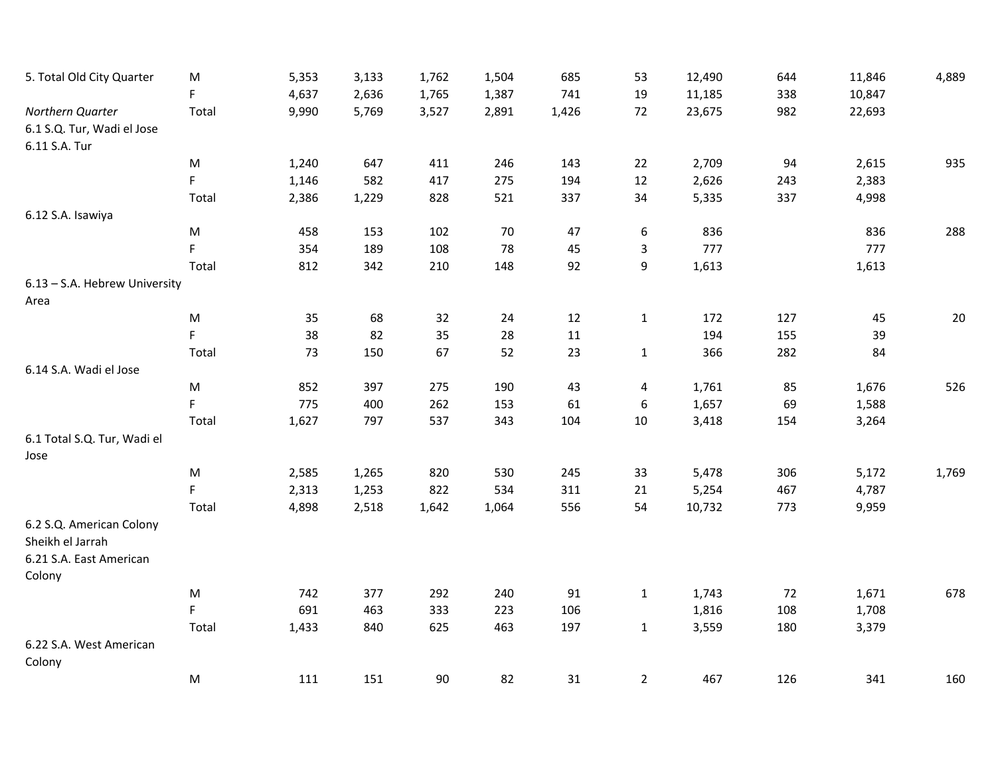| 5. Total Old City Quarter                      | ${\sf M}$<br>F | 5,353<br>4,637 | 3,133<br>2,636 | 1,762<br>1,765 | 1,504<br>1,387 | 685<br>741 | 53<br>19       | 12,490<br>11,185 | 644<br>338 | 11,846<br>10,847 | 4,889 |
|------------------------------------------------|----------------|----------------|----------------|----------------|----------------|------------|----------------|------------------|------------|------------------|-------|
| Northern Quarter<br>6.1 S.Q. Tur, Wadi el Jose | Total          | 9,990          | 5,769          | 3,527          | 2,891          | 1,426      | 72             | 23,675           | 982        | 22,693           |       |
| 6.11 S.A. Tur                                  |                |                |                |                |                |            |                |                  |            |                  |       |
|                                                | ${\sf M}$      | 1,240          | 647            | 411            | 246            | 143        | 22             | 2,709            | 94         | 2,615            | 935   |
|                                                | F              | 1,146          | 582            | 417            | 275            | 194        | 12             | 2,626            | 243        | 2,383            |       |
|                                                | Total          | 2,386          | 1,229          | 828            | 521            | 337        | 34             | 5,335            | 337        | 4,998            |       |
| 6.12 S.A. Isawiya                              |                |                |                |                |                |            |                |                  |            |                  |       |
|                                                | ${\sf M}$      | 458            | 153            | 102            | 70             | 47         | 6              | 836              |            | 836              | 288   |
|                                                | F              | 354            | 189            | 108            | 78             | 45         | 3              | 777              |            | 777              |       |
|                                                | Total          | 812            | 342            | 210            | 148            | 92         | 9              | 1,613            |            | 1,613            |       |
| 6.13 - S.A. Hebrew University                  |                |                |                |                |                |            |                |                  |            |                  |       |
| Area                                           |                |                |                |                |                |            |                |                  |            |                  |       |
|                                                | ${\sf M}$      | 35             | 68             | 32             | 24             | 12         | $\mathbf{1}$   | 172              | 127        | 45               | 20    |
|                                                | F.             | 38             | 82             | 35             | 28             | 11         |                | 194              | 155        | 39               |       |
|                                                | Total          | 73             | 150            | 67             | 52             | 23         | $\mathbf{1}$   | 366              | 282        | 84               |       |
| 6.14 S.A. Wadi el Jose                         |                |                |                |                |                |            |                |                  |            |                  |       |
|                                                | ${\sf M}$      | 852            | 397            | 275            | 190            | 43         | 4              | 1,761            | 85         | 1,676            | 526   |
|                                                | F              | 775            | 400            | 262            | 153            | 61         | 6              | 1,657            | 69         | 1,588            |       |
|                                                | Total          | 1,627          | 797            | 537            | 343            | 104        | 10             | 3,418            | 154        | 3,264            |       |
| 6.1 Total S.Q. Tur, Wadi el<br>Jose            |                |                |                |                |                |            |                |                  |            |                  |       |
|                                                | ${\sf M}$      | 2,585          | 1,265          | 820            | 530            | 245        | 33             | 5,478            | 306        | 5,172            | 1,769 |
|                                                | F              | 2,313          | 1,253          | 822            | 534            | 311        | 21             | 5,254            | 467        | 4,787            |       |
|                                                | Total          | 4,898          | 2,518          | 1,642          | 1,064          | 556        | 54             | 10,732           | 773        | 9,959            |       |
| 6.2 S.Q. American Colony<br>Sheikh el Jarrah   |                |                |                |                |                |            |                |                  |            |                  |       |
| 6.21 S.A. East American<br>Colony              |                |                |                |                |                |            |                |                  |            |                  |       |
|                                                | M              | 742            | 377            | 292            | 240            | 91         | $\mathbf{1}$   | 1,743            | 72         | 1,671            | 678   |
|                                                | F              | 691            | 463            | 333            | 223            | 106        |                | 1,816            | 108        | 1,708            |       |
|                                                | Total          | 1,433          | 840            | 625            | 463            | 197        | $\mathbf{1}$   | 3,559            | 180        | 3,379            |       |
| 6.22 S.A. West American<br>Colony              |                |                |                |                |                |            |                |                  |            |                  |       |
|                                                | ${\sf M}$      | 111            | 151            | 90             | 82             | 31         | $\overline{2}$ | 467              | 126        | 341              | 160   |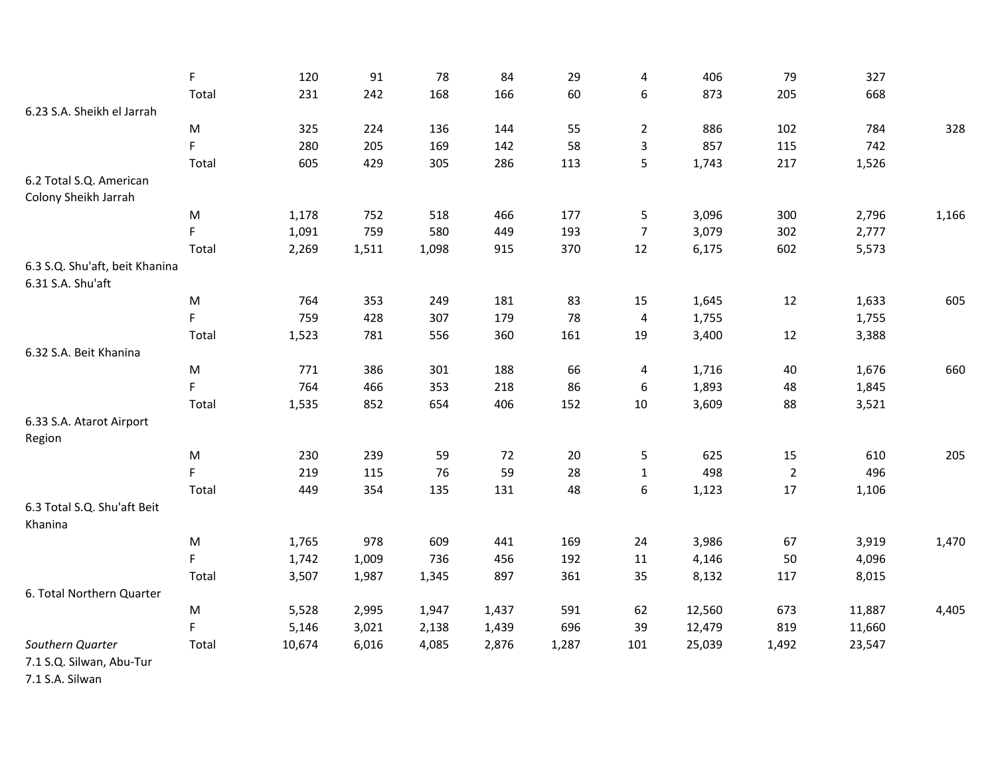|                                                     | F         | 120    | 91    | 78    | 84    | 29    | 4              | 406    | 79             | 327    |       |
|-----------------------------------------------------|-----------|--------|-------|-------|-------|-------|----------------|--------|----------------|--------|-------|
|                                                     | Total     | 231    | 242   | 168   | 166   | 60    | 6              | 873    | 205            | 668    |       |
| 6.23 S.A. Sheikh el Jarrah                          |           |        |       |       |       |       |                |        |                |        |       |
|                                                     | ${\sf M}$ | 325    | 224   | 136   | 144   | 55    | $\overline{2}$ | 886    | 102            | 784    | 328   |
|                                                     | F         | 280    | 205   | 169   | 142   | 58    | 3              | 857    | 115            | 742    |       |
|                                                     | Total     | 605    | 429   | 305   | 286   | 113   | 5              | 1,743  | 217            | 1,526  |       |
| 6.2 Total S.Q. American                             |           |        |       |       |       |       |                |        |                |        |       |
| Colony Sheikh Jarrah                                |           |        |       |       |       |       |                |        |                |        |       |
|                                                     | ${\sf M}$ | 1,178  | 752   | 518   | 466   | 177   | 5              | 3,096  | 300            | 2,796  | 1,166 |
|                                                     | F         | 1,091  | 759   | 580   | 449   | 193   | $\overline{7}$ | 3,079  | 302            | 2,777  |       |
|                                                     | Total     | 2,269  | 1,511 | 1,098 | 915   | 370   | 12             | 6,175  | 602            | 5,573  |       |
| 6.3 S.Q. Shu'aft, beit Khanina<br>6.31 S.A. Shu'aft |           |        |       |       |       |       |                |        |                |        |       |
|                                                     | M         | 764    | 353   | 249   | 181   | 83    | 15             | 1,645  | 12             | 1,633  | 605   |
|                                                     | F         | 759    | 428   | 307   | 179   | 78    | $\pmb{4}$      | 1,755  |                | 1,755  |       |
|                                                     | Total     | 1,523  | 781   | 556   | 360   | 161   | 19             | 3,400  | 12             | 3,388  |       |
| 6.32 S.A. Beit Khanina                              |           |        |       |       |       |       |                |        |                |        |       |
|                                                     | ${\sf M}$ | 771    | 386   | 301   | 188   | 66    | 4              | 1,716  | 40             | 1,676  | 660   |
|                                                     | F         | 764    | 466   | 353   | 218   | 86    | 6              | 1,893  | 48             | 1,845  |       |
|                                                     | Total     | 1,535  | 852   | 654   | 406   | 152   | 10             | 3,609  | 88             | 3,521  |       |
| 6.33 S.A. Atarot Airport<br>Region                  |           |        |       |       |       |       |                |        |                |        |       |
|                                                     | ${\sf M}$ | 230    | 239   | 59    | 72    | 20    | 5              | 625    | 15             | 610    | 205   |
|                                                     | F         | 219    | 115   | 76    | 59    | 28    | $\mathbf{1}$   | 498    | $\overline{2}$ | 496    |       |
|                                                     | Total     | 449    | 354   | 135   | 131   | 48    | 6              | 1,123  | 17             | 1,106  |       |
| 6.3 Total S.Q. Shu'aft Beit<br>Khanina              |           |        |       |       |       |       |                |        |                |        |       |
|                                                     | ${\sf M}$ | 1,765  | 978   | 609   | 441   | 169   | 24             | 3,986  | 67             | 3,919  | 1,470 |
|                                                     | F.        | 1,742  | 1,009 | 736   | 456   | 192   | 11             | 4,146  | 50             | 4,096  |       |
|                                                     | Total     | 3,507  | 1,987 | 1,345 | 897   | 361   | 35             | 8,132  | 117            | 8,015  |       |
| 6. Total Northern Quarter                           |           |        |       |       |       |       |                |        |                |        |       |
|                                                     | M         | 5,528  | 2,995 | 1,947 | 1,437 | 591   | 62             | 12,560 | 673            | 11,887 | 4,405 |
|                                                     | F.        | 5,146  | 3,021 | 2,138 | 1,439 | 696   | 39             | 12,479 | 819            | 11,660 |       |
| Southern Quarter                                    | Total     | 10,674 | 6,016 | 4,085 | 2,876 | 1,287 | 101            | 25,039 | 1,492          | 23,547 |       |
| 7.1 S.Q. Silwan, Abu-Tur                            |           |        |       |       |       |       |                |        |                |        |       |

7.1 S.A. Silwan